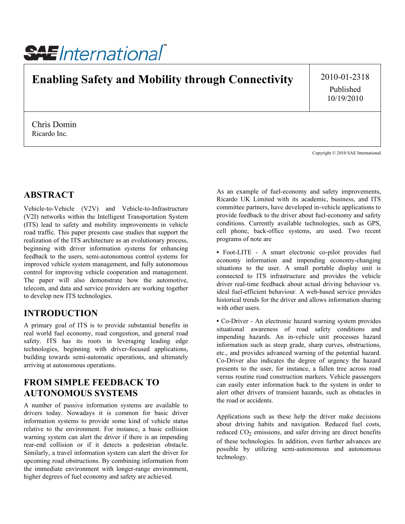

# **Enabling Safety and Mobility through Connectivity** 2010-01-2318

Published 10/19/2010

Chris Domin Ricardo Inc.

Copyright © 2010 SAE International

# **ABSTRACT**

Vehicle-to-Vehicle (V2V) and Vehicle-to-Infrastructure (V2I) networks within the Intelligent Transportation System (ITS) lead to safety and mobility improvements in vehicle road traffic. This paper presents case studies that support the realization of the ITS architecture as an evolutionary process, beginning with driver information systems for enhancing feedback to the users, semi-autonomous control systems for improved vehicle system management, and fully autonomous control for improving vehicle cooperation and management. The paper will also demonstrate how the automotive, telecom, and data and service providers are working together to develop new ITS technologies.

# **INTRODUCTION**

A primary goal of ITS is to provide substantial benefits in real world fuel economy, road congestion, and general road safety. ITS has its roots in leveraging leading edge technologies, beginning with driver-focused applications, building towards semi-automatic operations, and ultimately arriving at autonomous operations.

# **FROM SIMPLE FEEDBACK TO AUTONOMOUS SYSTEMS**

A number of passive information systems are available to drivers today. Nowadays it is common for basic driver information systems to provide some kind of vehicle status relative to the environment. For instance, a basic collision warning system can alert the driver if there is an impending rear-end collision or if it detects a pedestrian obstacle. Similarly, a travel information system can alert the driver for upcoming road obstructions. By combining information from the immediate environment with longer-range environment, higher degrees of fuel economy and safety are achieved.

As an example of fuel-economy and safety improvements, Ricardo UK Limited with its academic, business, and ITS committee partners, have developed in-vehicle applications to provide feedback to the driver about fuel-economy and safety conditions. Currently available technologies, such as GPS, cell phone, back-office systems, are used. Two recent programs of note are

**•** Foot-LITE - A smart electronic co-pilot provides fuel economy information and impending economy-changing situations to the user. A small portable display unit is connected to ITS infrastructure and provides the vehicle driver real-time feedback about actual driving behaviour vs. ideal fuel-efficient behaviour. A web-based service provides historical trends for the driver and allows information sharing with other users.

**•** Co-Driver - An electronic hazard warning system provides situational awareness of road safety conditions and impending hazards. An in-vehicle unit processes hazard information such as steep grade, sharp curves, obstructions, etc., and provides advanced warning of the potential hazard. Co-Driver also indicates the degree of urgency the hazard presents to the user, for instance, a fallen tree across road versus routine road construction markers. Vehicle passengers can easily enter information back to the system in order to alert other drivers of transient hazards, such as obstacles in the road or accidents.

Applications such as these help the driver make decisions about driving habits and navigation. Reduced fuel costs, reduced  $CO<sub>2</sub>$  emissions, and safer driving are direct benefits of these technologies. In addition, even further advances are possible by utilizing semi-autonomous and autonomous technology.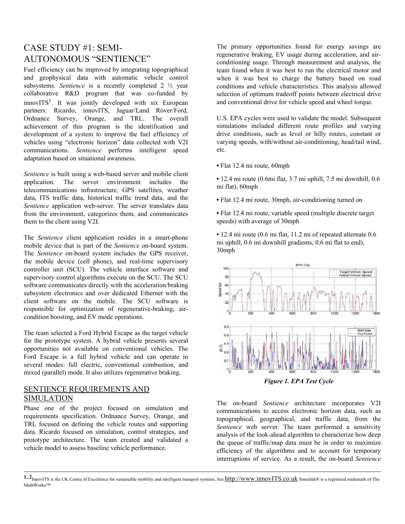# CASE STUDY #1: SEMI-AUTONOMOUS "SENTIENCE"

Fuel efficiency can be improved by integrating topographical and geophysical data with automatic vehicle control subsystems. *Sentience* is a recently completed 2 ½ year collaborative R&D program that was co-funded by innovITS<sup>1</sup>. It was jointly developed with six European partners: Ricardo, innovITS, Jaguar/Land Rover/Ford, Ordnance Survey, Orange, and TRL. The overall achievement of this program is the identification and development of a system to improve the fuel efficiency of vehicles using "electronic horizon" data collected with V2I communications. *Sentience* performs intelligent speed adaptation based on situational awareness.

*Sentience* is built using a web-based server and mobile client application. The server environment includes the telecommunications infrastructure, GPS satellites, weather data, ITS traffic data, historical traffic trend data, and the *Sentience* application web-server. The server translates data from the environment, categorizes them, and communicates them to the client using V2I.

The *Sentience* client application resides in a smart-phone mobile device that is part of the *Sentience* on-board system. The *Sentience* on-board system includes the GPS receiver, the mobile device (cell phone), and real-time supervisory controller unit (SCU). The vehicle interface software and supervisory control algorithms execute on the SCU. The SCU software communicates directly with the acceleration/braking subsystem electronics and over dedicated Ethernet with the client software on the mobile. The SCU software is responsible for optimization of regenerative-braking, aircondition boosting, and EV mode operations.

The team selected a Ford Hybrid Escape as the target vehicle for the prototype system. A hybrid vehicle presents several opportunities not available on conventional vehicles. The Ford Escape is a full hybrid vehicle and can operate in several modes: full electric, conventional combustion, and mixed (parallel) mode. It also utilizes regenerative braking.

## SENTIENCE REQUIREMENTS AND SIMULATION

Phase one of the project focused on simulation and requirements specification. Ordnance Survey, Orange, and TRL focused on defining the vehicle routes and supporting data. Ricardo focused on simulation, control strategies, and prototype architecture. The team created and validated a vehicle model to assess baseline vehicle performance.

The primary opportunities found for energy savings are regenerative braking, EV usage during acceleration, and airconditioning usage. Through measurement and analysis, the team found when it was best to run the electrical motor and when it was best to charge the battery based on road conditions and vehicle characteristics. This analysis allowed selection of optimum tradeoff points between electrical drive and conventional drive for vehicle speed and wheel torque.

U.S. EPA cycles were used to validate the model. Subsequent simulations included different route profiles and varying drive conditions, such as level or hilly routes, constant or varying speeds, with/without air-conditioning, head/tail wind, etc.

- Flat 12.4 mi route, 60mph
- 12.4 mi route (0.6mi flat, 3.7 mi uphill, 7.5 mi downhill, 0.6 mi flat), 60mph
- Flat 12.4 mi route, 30mph, air-conditioning turned on

**•** Flat 12.4 mi route, variable speed (multiple discrete target speeds) with average of 30mph

**•** 12.4 mi route (0.6 mi flat, 11.2 mi of repeated alternate 0.6 mi uphill, 0.6 mi downhill gradients, 0.6 mi flat to end), 30mph



*Figure 1. EPA Test Cycle*

The on-board *Sentience* architecture incorporates V2I communications to access electronic horizon data, such as topographical, geographical, and traffic data, from the *Sentience* web server. The team performed a sensitivity analysis of the look-ahead algorithm to characterize how deep the queue of traffic/map data must be in order to maximize efficiency of the algorithms and to account for temporary interruptions of service. As a result, the on-board *Sentience*

<sup>1, 2&</sup>lt;sub>InnovITS</sub> is the UK Centre of Excellence for sustainable mobility and intelligent transport systems. See <http://www.innovITS.co.uk> Simulink® is a registered trademark of The MathWorks™.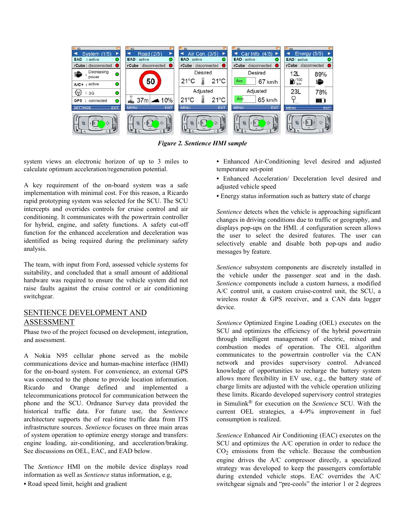

*Figure 2. Sentience HMI sample*

system views an electronic horizon of up to 3 miles to calculate optimum acceleration/regeneration potential.

A key requirement of the on-board system was a safe implementation with minimal cost. For this reason, a Ricardo rapid prototyping system was selected for the SCU. The SCU intercepts and overrides controls for cruise control and air conditioning. It communicates with the powertrain controller for hybrid, engine, and safety functions. A safety cut-off function for the enhanced acceleration and deceleration was identified as being required during the preliminary safety analysis.

The team, with input from Ford, assessed vehicle systems for suitability, and concluded that a small amount of additional hardware was required to ensure the vehicle system did not raise faults against the cruise control or air conditioning switchgear.

## SENTIENCE DEVELOPMENT AND ASSESSMENT

Phase two of the project focused on development, integration, and assessment.

A Nokia N95 cellular phone served as the mobile communications device and human-machine interface (HMI) for the on-board system. For convenience, an external GPS was connected to the phone to provide location information. Ricardo and Orange defined and implemented a telecommunications protocol for communication between the phone and the SCU. Ordnance Survey data provided the historical traffic data. For future use, the *Sentience* architecture supports the of real-time traffic data from ITS infrastructure sources. *Sentience* focuses on three main areas of system operation to optimize energy storage and transfers: engine loading, air-conditioning, and acceleration/braking. See discussions on OEL, EAC, and EAD below.

The *Sentience* HMI on the mobile device displays road information as well as *Sentience* status information, e.g,

**•** Road speed limit, height and gradient

- Enhanced Air-Conditioning level desired and adjusted temperature set-point
- Enhanced Acceleration/ Deceleration level desired and adjusted vehicle speed
- Energy status information such as battery state of charge

*Sentience* detects when the vehicle is approaching significant changes in driving conditions due to traffic or geography, and displays pop-ups on the HMI. *A* configuration screen allows the user to select the desired features. The user can selectively enable and disable both pop-ups and audio messages by feature.

*Sentience* subsystem components are discretely installed in the vehicle under the passenger seat and in the dash. *Sentience* components include a custom harness, a modified A/C control unit, a custom cruise-control unit, the SCU, a wireless router & GPS receiver, and a CAN data logger device.

*Sentience* Optimized Engine Loading (OEL) executes on the SCU and optimizes the efficiency of the hybrid powertrain through intelligent management of electric, mixed and combustion modes of operation. The OEL algorithm communicates to the powertrain controller via the CAN network and provides supervisory control. Advanced knowledge of opportunities to recharge the battery system allows more flexibility in EV use, e.g., the battery state of charge limits are adjusted with the vehicle operation utilizing these limits. Ricardo developed supervisory control strategies in Simulink® for execution on the *Sentience* SCU. With the current OEL strategies, a 4-9% improvement in fuel consumption is realized.

*Sentience* Enhanced Air Conditioning (EAC) executes on the SCU and optimizes the A/C operation in order to reduce the  $CO<sub>2</sub>$  emissions from the vehicle. Because the combustion engine drives the A/C compressor directly, a specialized strategy was developed to keep the passengers comfortable during extended vehicle stops. EAC overrides the A/C switchgear signals and "pre-cools" the interior 1 or 2 degrees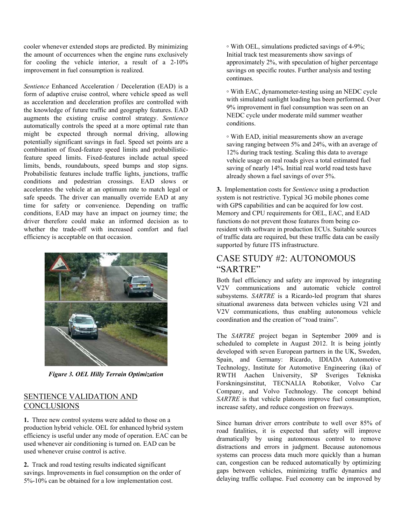cooler whenever extended stops are predicted. By minimizing the amount of occurrences when the engine runs exclusively for cooling the vehicle interior, a result of a 2-10% improvement in fuel consumption is realized.

*Sentience* Enhanced Acceleration / Deceleration (EAD) is a form of adaptive cruise control, where vehicle speed as well as acceleration and deceleration profiles are controlled with the knowledge of future traffic and geography features. EAD augments the existing cruise control strategy. *Sentience* automatically controls the speed at a more optimal rate than might be expected through normal driving, allowing potentially significant savings in fuel. Speed set points are a combination of fixed-feature speed limits and probabilisticfeature speed limits. Fixed-features include actual speed limits, bends, roundabouts, speed bumps and stop signs. Probabilistic features include traffic lights, junctions, traffic conditions and pedestrian crossings. EAD slows or accelerates the vehicle at an optimum rate to match legal or safe speeds. The driver can manually override EAD at any time for safety or convenience. Depending on traffic conditions, EAD may have an impact on journey time; the driver therefore could make an informed decision as to whether the trade-off with increased comfort and fuel efficiency is acceptable on that occasion.



*Figure 3. OEL Hilly Terrain Optimization*

## SENTIENCE VALIDATION AND **CONCLUSIONS**

**1.** Three new control systems were added to those on a production hybrid vehicle. OEL for enhanced hybrid system efficiency is useful under any mode of operation. EAC can be used whenever air conditioning is turned on. EAD can be used whenever cruise control is active.

**2.** Track and road testing results indicated significant savings. Improvements in fuel consumption on the order of 5%-10% can be obtained for a low implementation cost.

**◦** With OEL, simulations predicted savings of 4-9%; Initial track test measurements show savings of approximately 2%, with speculation of higher percentage savings on specific routes. Further analysis and testing continues.

**◦** With EAC, dynamometer-testing using an NEDC cycle with simulated sunlight loading has been performed. Over 9% improvement in fuel consumption was seen on an NEDC cycle under moderate mild summer weather conditions.

**◦** With EAD, initial measurements show an average saving ranging between 5% and 24%, with an average of 12% during track testing. Scaling this data to average vehicle usage on real roads gives a total estimated fuel saving of nearly 14%. Initial real world road tests have already shown a fuel savings of over 5%.

**3.** Implementation costs for *Sentience* using a production system is not restrictive. Typical 3G mobile phones come with GPS capabilities and can be acquired for low cost. Memory and CPU requirements for OEL, EAC, and EAD functions do not prevent those features from being coresident with software in production ECUs. Suitable sources of traffic data are required, but these traffic data can be easily supported by future ITS infrastructure.

## CASE STUDY #2: AUTONOMOUS "SARTRE"

Both fuel efficiency and safety are improved by integrating V2V communications and automatic vehicle control subsystems. *SARTRE* is a Ricardo-led program that shares situational awareness data between vehicles using V2I and V2V communications, thus enabling autonomous vehicle coordination and the creation of "road trains".

The *SARTRE* project began in September 2009 and is scheduled to complete in August 2012. It is being jointly developed with seven European partners in the UK, Sweden, Spain, and Germany: Ricardo, IDIADA Automotive Technology, Institute for Automotive Engineering (ika) of RWTH Aachen University, SP Sveriges Tekniska Forskningsinstitut, TECNALIA Robotiker, Volvo Car Company, and Volvo Technology. The concept behind *SARTRE* is that vehicle platoons improve fuel consumption, increase safety, and reduce congestion on freeways.

Since human driver errors contribute to well over 85% of road fatalities, it is expected that safety will improve dramatically by using autonomous control to remove distractions and errors in judgment. Because autonomous systems can process data much more quickly than a human can, congestion can be reduced automatically by optimizing gaps between vehicles, minimizing traffic dynamics and delaying traffic collapse. Fuel economy can be improved by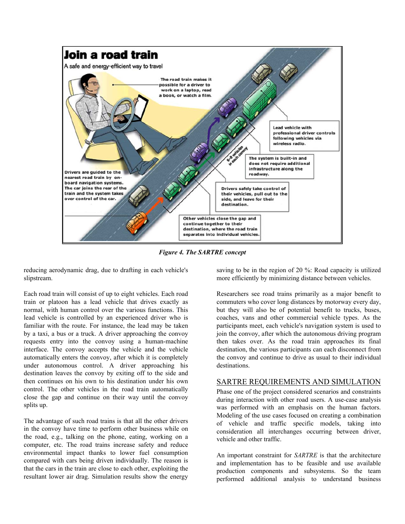

*Figure 4. The SARTRE concept*

reducing aerodynamic drag, due to drafting in each vehicle's slipstream.

Each road train will consist of up to eight vehicles. Each road train or platoon has a lead vehicle that drives exactly as normal, with human control over the various functions. This lead vehicle is controlled by an experienced driver who is familiar with the route. For instance, the lead may be taken by a taxi, a bus or a truck. A driver approaching the convoy requests entry into the convoy using a human-machine interface. The convoy accepts the vehicle and the vehicle automatically enters the convoy, after which it is completely under autonomous control. A driver approaching his destination leaves the convoy by exiting off to the side and then continues on his own to his destination under his own control. The other vehicles in the road train automatically close the gap and continue on their way until the convoy splits up.

The advantage of such road trains is that all the other drivers in the convoy have time to perform other business while on the road, e.g., talking on the phone, eating, working on a computer, etc. The road trains increase safety and reduce environmental impact thanks to lower fuel consumption compared with cars being driven individually. The reason is that the cars in the train are close to each other, exploiting the resultant lower air drag. Simulation results show the energy

saving to be in the region of 20 %: Road capacity is utilized more efficiently by minimizing distance between vehicles.

Researchers see road trains primarily as a major benefit to commuters who cover long distances by motorway every day, but they will also be of potential benefit to trucks, buses, coaches, vans and other commercial vehicle types. As the participants meet, each vehicle's navigation system is used to join the convoy, after which the autonomous driving program then takes over. As the road train approaches its final destination, the various participants can each disconnect from the convoy and continue to drive as usual to their individual destinations.

## SARTRE REQUIREMENTS AND SIMULATION

Phase one of the project considered scenarios and constraints during interaction with other road users. A use-case analysis was performed with an emphasis on the human factors. Modeling of the use cases focused on creating a combination of vehicle and traffic specific models, taking into consideration all interchanges occurring between driver, vehicle and other traffic.

An important constraint for *SARTRE* is that the architecture and implementation has to be feasible and use available production components and subsystems. So the team performed additional analysis to understand business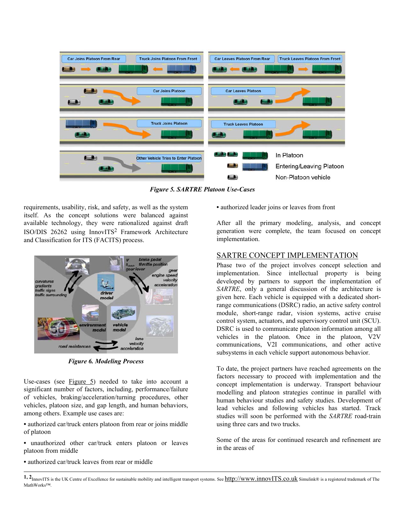

*Figure 5. SARTRE Platoon Use-Cases*

requirements, usability, risk, and safety, as well as the system itself. As the concept solutions were balanced against available technology, they were rationalized against draft ISO/DIS 26262 using InnovITS<sup>2</sup> Framework Architecture and Classification for ITS (FACITS) process.



*Figure 6. Modeling Process*

Use-cases (see Figure  $5$ ) needed to take into account a significant number of factors, including, performance/failure of vehicles, braking/acceleration/turning procedures, other vehicles, platoon size, and gap length, and human behaviors, among others. Example use cases are:

**•** authorized car/truck enters platoon from rear or joins middle of platoon

- unauthorized other car/truck enters platoon or leaves platoon from middle
- authorized car/truck leaves from rear or middle

**•** authorized leader joins or leaves from front

After all the primary modeling, analysis, and concept generation were complete, the team focused on concept implementation.

## SARTRE CONCEPT IMPLEMENTATION

Phase two of the project involves concept selection and implementation. Since intellectual property is being developed by partners to support the implementation of *SARTRE*, only a general discussion of the architecture is given here. Each vehicle is equipped with a dedicated shortrange communications (DSRC) radio, an active safety control module, short-range radar, vision systems, active cruise control system, actuators, and supervisory control unit (SCU). DSRC is used to communicate platoon information among all vehicles in the platoon. Once in the platoon, V2V communications, V2I communications, and other active subsystems in each vehicle support autonomous behavior.

To date, the project partners have reached agreements on the factors necessary to proceed with implementation and the concept implementation is underway. Transport behaviour modelling and platoon strategies continue in parallel with human behaviour studies and safety studies. Development of lead vehicles and following vehicles has started. Track studies will soon be performed with the *SARTRE* road-train using three cars and two trucks.

Some of the areas for continued research and refinement are in the areas of

<sup>1, 2&</sup>lt;sub>InnovITS</sub> is the UK Centre of Excellence for sustainable mobility and intelligent transport systems. See <http://www.innovITS.co.uk> Simulink® is a registered trademark of The MathWorks™.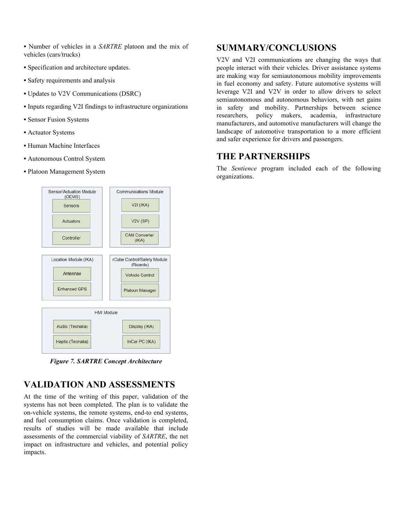**•** Number of vehicles in a *SARTRE* platoon and the mix of vehicles (cars/trucks)

- Specification and architecture updates.
- Safety requirements and analysis
- Updates to V2V Communications (DSRC)
- Inputs regarding V2I findings to infrastructure organizations
- Sensor Fusion Systems
- Actuator Systems
- Human Machine Interfaces
- Autonomous Control System
- Platoon Management System



*Figure 7. SARTRE Concept Architecture*

# **VALIDATION AND ASSESSMENTS**

At the time of the writing of this paper, validation of the systems has not been completed. The plan is to validate the on-vehicle systems, the remote systems, end-to end systems, and fuel consumption claims. Once validation is completed, results of studies will be made available that include assessments of the commercial viability of *SARTRE*, the net impact on infrastructure and vehicles, and potential policy impacts.

## **SUMMARY/CONCLUSIONS**

V2V and V2I communications are changing the ways that people interact with their vehicles. Driver assistance systems are making way for semiautonomous mobility improvements in fuel economy and safety. Future automotive systems will leverage V2I and V2V in order to allow drivers to select semiautonomous and autonomous behaviors, with net gains in safety and mobility. Partnerships between science researchers, policy makers, academia, infrastructure manufacturers, and automotive manufacturers will change the landscape of automotive transportation to a more efficient and safer experience for drivers and passengers.

## **THE PARTNERSHIPS**

The *Sentience* program included each of the following organizations.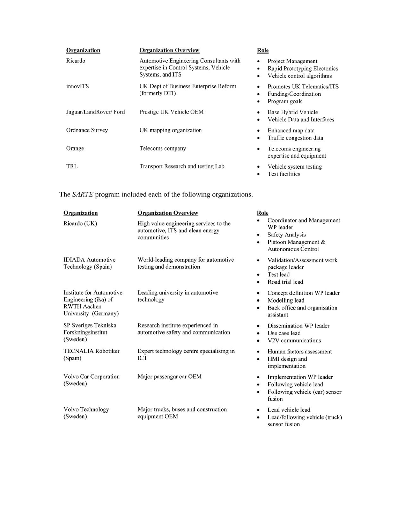| Organization          | <b>Organization Overview</b>                                                                         | Role                                                                                       |
|-----------------------|------------------------------------------------------------------------------------------------------|--------------------------------------------------------------------------------------------|
| Ricardo               | Automotive Engineering Consultants with<br>expertise in Control Systems, Vehicle<br>Systems, and ITS | Project Management<br>Rapid Prototyping Electonics<br>٠<br>Vehicle control algorithms<br>٠ |
| innovITS              | UK Dept of Business Enterprise Reform<br>(formerly DTI)                                              | Promotes UK Telematics/ITS<br>٠<br>Funding/Coordination<br>٠<br>Program goals<br>٠         |
| Jaguar/LandRover/Ford | Prestige UK Vehicle OEM                                                                              | Base Hybrid Vehicle<br>٠<br>Vehicle Data and Interfaces<br>٠                               |
| Ordnance Survey       | UK mapping organization                                                                              | Enhanced map data<br>٠<br>Traffic congestion data<br>٠                                     |
| Orange                | Telecoms company                                                                                     | Telecoms engineering<br>٠<br>expertise and equipment                                       |
| TRL                   | Transport Research and testing Lab                                                                   | Vehicle system testing<br><b>Test facilities</b>                                           |

The SARTE program included each of the following organizations.

| Organization                                                                                   | <b>Organization Overview</b>                                                              | Role                                                                                                                             |
|------------------------------------------------------------------------------------------------|-------------------------------------------------------------------------------------------|----------------------------------------------------------------------------------------------------------------------------------|
| Ricardo (UK)                                                                                   | High value engineering services to the<br>automotive, ITS and clean energy<br>communities | Coordinator and Management<br>WP leader<br><b>Safety Analysis</b><br>٠<br>Platoon Management &<br>٠<br><b>Autonomous Control</b> |
| <b>IDIADA</b> Automotive<br>Technology (Spain)                                                 | World-leading company for automotive<br>testing and demonstration                         | Validation/Assessment work<br>٠<br>package leader<br><b>Test lead</b><br>٠<br>Road trial lead<br>٠                               |
| Institute for Automotive<br>Engineering (ika) of<br><b>RWTH Aachen</b><br>University (Germany) | Leading university in automotive<br>technology                                            | Concept definition WP leader<br>٠<br>Modelling lead<br>٠<br>Back office and organisation<br>٠<br>assistant                       |
| SP Sveriges Tekniska<br>Forskningsinstitut<br>(Sweden)                                         | Research institute experienced in<br>automotive safety and communication                  | Dissemination WP leader<br>٠<br>Use case lead<br>٠<br>V <sub>2</sub> V communications<br>٠                                       |
| <b>TECNALIA Robotiker</b><br>(Spain)                                                           | Expert technology centre specialising in<br><b>ICT</b>                                    | Human factors assessment<br>٠<br>HMI design and<br>٠<br>implementation                                                           |
| Volvo Car Corporation<br>(Sweden)                                                              | Major passengar car OEM                                                                   | Implementation WP leader<br>٠<br>Following vehicle lead<br>٠<br>Following vehicle (car) sensor<br>٠<br>fusion                    |
| Volvo Technology<br>(Sweden)                                                                   | Major trucks, buses and construction<br>equipment OEM                                     | Lead vehicle lead<br>٠<br>Lead/following vehicle (truck)<br>sensor fusion                                                        |